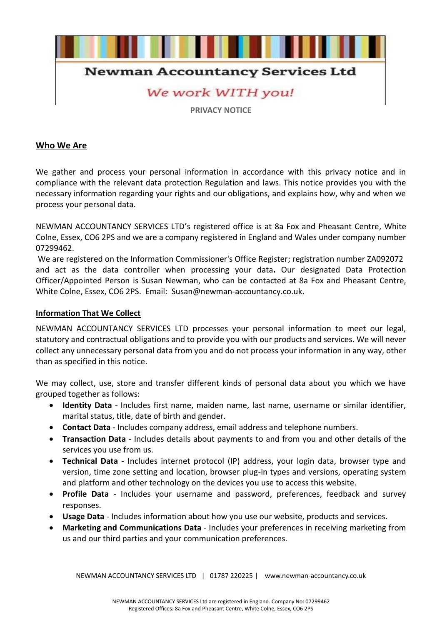

# **Newman Accountancy Services Ltd**

# We work WITH you!

**PRIVACY NOTICE**

# **Who We Are**

We gather and process your personal information in accordance with this privacy notice and in compliance with the relevant data protection Regulation and laws. This notice provides you with the necessary information regarding your rights and our obligations, and explains how, why and when we process your personal data.

NEWMAN ACCOUNTANCY SERVICES LTD's registered office is at 8a Fox and Pheasant Centre, White Colne, Essex, CO6 2PS and we are a company registered in England and Wales under company number 07299462.

We are registered on the Information Commissioner's Office Register; registration number ZA092072 and act as the data controller when processing your data**.** Our designated Data Protection Officer/Appointed Person is Susan Newman, who can be contacted at 8a Fox and Pheasant Centre, White Colne, Essex, CO6 2PS. Email: Susan@newman-accountancy.co.uk.

#### **Information That We Collect**

NEWMAN ACCOUNTANCY SERVICES LTD processes your personal information to meet our legal, statutory and contractual obligations and to provide you with our products and services. We will never collect any unnecessary personal data from you and do not process your information in any way, other than as specified in this notice.

We may collect, use, store and transfer different kinds of personal data about you which we have grouped together as follows:

- **Identity Data** Includes first name, maiden name, last name, username or similar identifier, marital status, title, date of birth and gender.
- **Contact Data** Includes company address, email address and telephone numbers.
- **Transaction Data** Includes details about payments to and from you and other details of the services you use from us.
- **Technical Data** Includes internet protocol (IP) address, your login data, browser type and version, time zone setting and location, browser plug-in types and versions, operating system and platform and other technology on the devices you use to access this website.
- **Profile Data** Includes your username and password, preferences, feedback and survey responses.
- **Usage Data** Includes information about how you use our website, products and services.
- **Marketing and Communications Data** Includes your preferences in receiving marketing from us and our third parties and your communication preferences.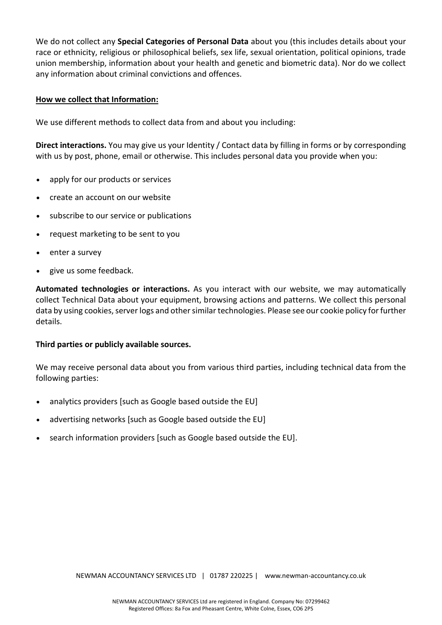We do not collect any **Special Categories of Personal Data** about you (this includes details about your race or ethnicity, religious or philosophical beliefs, sex life, sexual orientation, political opinions, trade union membership, information about your health and genetic and biometric data). Nor do we collect any information about criminal convictions and offences.

## **How we collect that Information:**

We use different methods to collect data from and about you including:

**Direct interactions.** You may give us your Identity / Contact data by filling in forms or by corresponding with us by post, phone, email or otherwise. This includes personal data you provide when you:

- apply for our products or services
- create an account on our website
- subscribe to our service or publications
- request marketing to be sent to you
- enter a survey
- give us some feedback.

**Automated technologies or interactions.** As you interact with our website, we may automatically collect Technical Data about your equipment, browsing actions and patterns. We collect this personal data by using cookies, server logs and other similar technologies. Please see our cookie policy for further details.

#### **Third parties or publicly available sources.**

We may receive personal data about you from various third parties, including technical data from the following parties:

- analytics providers [such as Google based outside the EU]
- advertising networks [such as Google based outside the EU]
- search information providers [such as Google based outside the EU].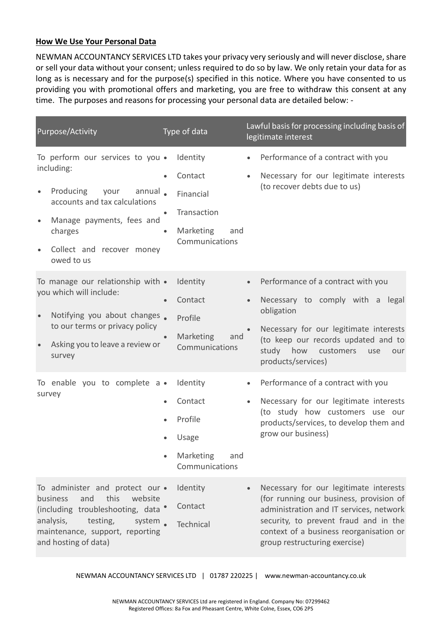# **How We Use Your Personal Data**

NEWMAN ACCOUNTANCY SERVICES LTD takes your privacy very seriously and will never disclose, share or sell your data without your consent; unless required to do so by law. We only retain your data for as long as is necessary and for the purpose(s) specified in this notice. Where you have consented to us providing you with promotional offers and marketing, you are free to withdraw this consent at any time. The purposes and reasons for processing your personal data are detailed below: -

| Purpose/Activity                                                                                                                                                                                                             | Type of data                                                                                       | Lawful basis for processing including basis of<br>legitimate interest                                                                                                                                                                                          |
|------------------------------------------------------------------------------------------------------------------------------------------------------------------------------------------------------------------------------|----------------------------------------------------------------------------------------------------|----------------------------------------------------------------------------------------------------------------------------------------------------------------------------------------------------------------------------------------------------------------|
| To perform our services to you .<br>including:<br>Producing<br>annual.<br>your<br>$\bullet$<br>accounts and tax calculations<br>Manage payments, fees and<br>charges<br>Collect and recover money<br>$\bullet$<br>owed to us | Identity<br>Contact<br>Financial<br>Transaction<br>$\bullet$<br>Marketing<br>and<br>Communications | Performance of a contract with you<br>$\bullet$<br>Necessary for our legitimate interests<br>$\bullet$<br>(to recover debts due to us)                                                                                                                         |
| To manage our relationship with •<br>you which will include:<br>Notifying you about changes.<br>$\bullet$<br>to our terms or privacy policy<br>Asking you to leave a review or<br>survey                                     | Identity<br>Contact<br>Profile<br>Marketing<br>and<br>$\bullet$<br>Communications                  | Performance of a contract with you<br>$\bullet$<br>Necessary to comply with a legal<br>$\bullet$<br>obligation<br>Necessary for our legitimate interests<br>(to keep our records updated and to<br>study how customers<br>use<br>our<br>products/services)     |
| To enable you to complete a •<br>survey                                                                                                                                                                                      | Identity<br>Contact<br>Profile<br>Usage<br>Marketing<br>and<br>Communications                      | Performance of a contract with you<br>Necessary for our legitimate interests<br>$\bullet$<br>(to study how customers use our<br>products/services, to develop them and<br>grow our business)                                                                   |
| To administer and protect our .<br>this<br>and<br>website<br>business<br>(including troubleshooting, data<br>analysis,<br>testing,<br>system<br>maintenance, support, reporting<br>and hosting of data)                      | Identity<br>Contact<br><b>Technical</b>                                                            | Necessary for our legitimate interests<br>$\bullet$<br>(for running our business, provision of<br>administration and IT services, network<br>security, to prevent fraud and in the<br>context of a business reorganisation or<br>group restructuring exercise) |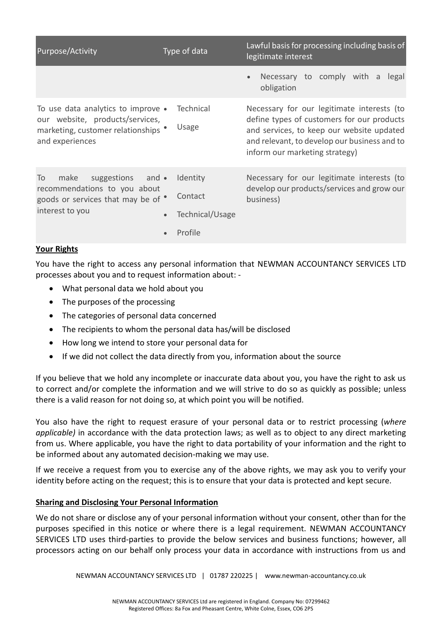| Purpose/Activity                                                                                                                 | Type of data                                      | Lawful basis for processing including basis of<br>legitimate interest                                                                                                                                                   |
|----------------------------------------------------------------------------------------------------------------------------------|---------------------------------------------------|-------------------------------------------------------------------------------------------------------------------------------------------------------------------------------------------------------------------------|
|                                                                                                                                  |                                                   | Necessary to comply with a<br>legal<br>$\bullet$<br>obligation                                                                                                                                                          |
| To use data analytics to improve •<br>our website, products/services,<br>marketing, customer relationships<br>and experiences    | <b>Technical</b><br>Usage                         | Necessary for our legitimate interests (to<br>define types of customers for our products<br>and services, to keep our website updated<br>and relevant, to develop our business and to<br>inform our marketing strategy) |
| suggestions and •<br>make<br>To<br>recommendations to you about<br>goods or services that may be of $\bullet$<br>interest to you | Identity<br>Contact<br>Technical/Usage<br>Profile | Necessary for our legitimate interests (to<br>develop our products/services and grow our<br>business)                                                                                                                   |

## **Your Rights**

You have the right to access any personal information that NEWMAN ACCOUNTANCY SERVICES LTD processes about you and to request information about: -

- What personal data we hold about you
- The purposes of the processing
- The categories of personal data concerned
- The recipients to whom the personal data has/will be disclosed
- How long we intend to store your personal data for
- If we did not collect the data directly from you, information about the source

If you believe that we hold any incomplete or inaccurate data about you, you have the right to ask us to correct and/or complete the information and we will strive to do so as quickly as possible; unless there is a valid reason for not doing so, at which point you will be notified.

You also have the right to request erasure of your personal data or to restrict processing (*where applicable)* in accordance with the data protection laws; as well as to object to any direct marketing from us. Where applicable, you have the right to data portability of your information and the right to be informed about any automated decision-making we may use.

If we receive a request from you to exercise any of the above rights, we may ask you to verify your identity before acting on the request; this is to ensure that your data is protected and kept secure.

#### **Sharing and Disclosing Your Personal Information**

We do not share or disclose any of your personal information without your consent, other than for the purposes specified in this notice or where there is a legal requirement. NEWMAN ACCOUNTANCY SERVICES LTD uses third-parties to provide the below services and business functions; however, all processors acting on our behalf only process your data in accordance with instructions from us and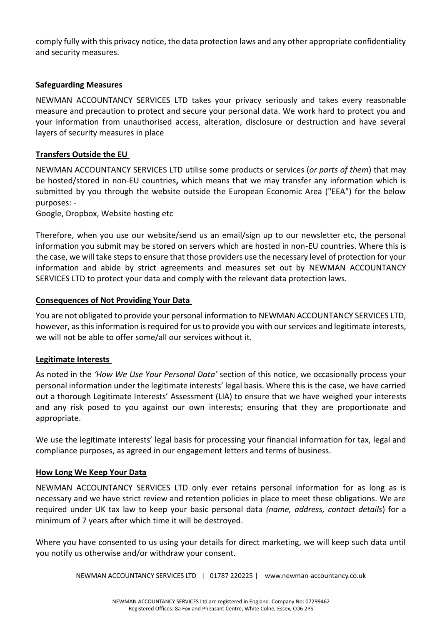comply fully with this privacy notice, the data protection laws and any other appropriate confidentiality and security measures.

# **Safeguarding Measures**

NEWMAN ACCOUNTANCY SERVICES LTD takes your privacy seriously and takes every reasonable measure and precaution to protect and secure your personal data. We work hard to protect you and your information from unauthorised access, alteration, disclosure or destruction and have several layers of security measures in place

# **Transfers Outside the EU**

NEWMAN ACCOUNTANCY SERVICES LTD utilise some products or services (*or parts of them*) that may be hosted/stored in non-EU countries**,** which means that we may transfer any information which is submitted by you through the website outside the European Economic Area ("EEA") for the below purposes: -

Google, Dropbox, Website hosting etc

Therefore, when you use our website/send us an email/sign up to our newsletter etc, the personal information you submit may be stored on servers which are hosted in non-EU countries. Where this is the case, we will take steps to ensure that those providers use the necessary level of protection for your information and abide by strict agreements and measures set out by NEWMAN ACCOUNTANCY SERVICES LTD to protect your data and comply with the relevant data protection laws.

## **Consequences of Not Providing Your Data**

You are not obligated to provide your personal information to NEWMAN ACCOUNTANCY SERVICES LTD, however, as this information is required for us to provide you with our services and legitimate interests, we will not be able to offer some/all our services without it.

# **Legitimate Interests**

As noted in the *'How We Use Your Personal Data'* section of this notice, we occasionally process your personal information under the legitimate interests' legal basis. Where this is the case, we have carried out a thorough Legitimate Interests' Assessment (LIA) to ensure that we have weighed your interests and any risk posed to you against our own interests; ensuring that they are proportionate and appropriate.

We use the legitimate interests' legal basis for processing your financial information for tax, legal and compliance purposes, as agreed in our engagement letters and terms of business.

#### **How Long We Keep Your Data**

NEWMAN ACCOUNTANCY SERVICES LTD only ever retains personal information for as long as is necessary and we have strict review and retention policies in place to meet these obligations. We are required under UK tax law to keep your basic personal data *(name, address, contact details*) for a minimum of 7 years after which time it will be destroyed.

Where you have consented to us using your details for direct marketing, we will keep such data until you notify us otherwise and/or withdraw your consent.